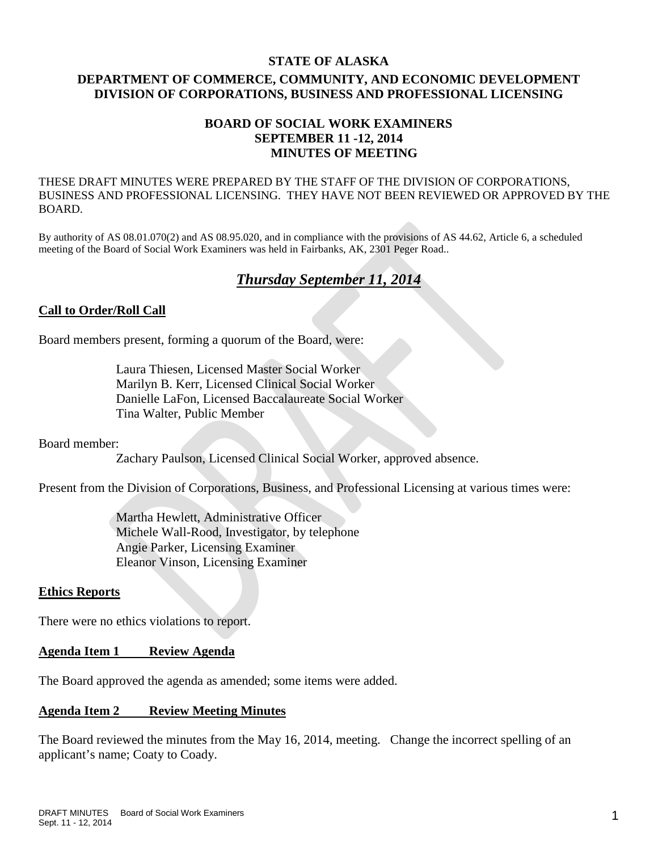#### **STATE OF ALASKA**

# **DEPARTMENT OF COMMERCE, COMMUNITY, AND ECONOMIC DEVELOPMENT DIVISION OF CORPORATIONS, BUSINESS AND PROFESSIONAL LICENSING**

## **BOARD OF SOCIAL WORK EXAMINERS SEPTEMBER 11 -12, 2014 MINUTES OF MEETING**

THESE DRAFT MINUTES WERE PREPARED BY THE STAFF OF THE DIVISION OF CORPORATIONS, BUSINESS AND PROFESSIONAL LICENSING. THEY HAVE NOT BEEN REVIEWED OR APPROVED BY THE BOARD.

By authority of AS 08.01.070(2) and AS 08.95.020, and in compliance with the provisions of AS 44.62, Article 6, a scheduled meeting of the Board of Social Work Examiners was held in Fairbanks, AK, 2301 Peger Road..

# *Thursday September 11, 2014*

## **Call to Order/Roll Call**

Board members present, forming a quorum of the Board, were:

Laura Thiesen, Licensed Master Social Worker Marilyn B. Kerr, Licensed Clinical Social Worker Danielle LaFon, Licensed Baccalaureate Social Worker Tina Walter, Public Member

Board member:

Zachary Paulson, Licensed Clinical Social Worker, approved absence.

Present from the Division of Corporations, Business, and Professional Licensing at various times were:

Martha Hewlett, Administrative Officer Michele Wall-Rood, Investigator, by telephone Angie Parker, Licensing Examiner Eleanor Vinson, Licensing Examiner

## **Ethics Reports**

There were no ethics violations to report.

## **Agenda Item 1 Review Agenda**

The Board approved the agenda as amended; some items were added.

#### **Agenda Item 2 Review Meeting Minutes**

The Board reviewed the minutes from the May 16, 2014, meeting. Change the incorrect spelling of an applicant's name; Coaty to Coady.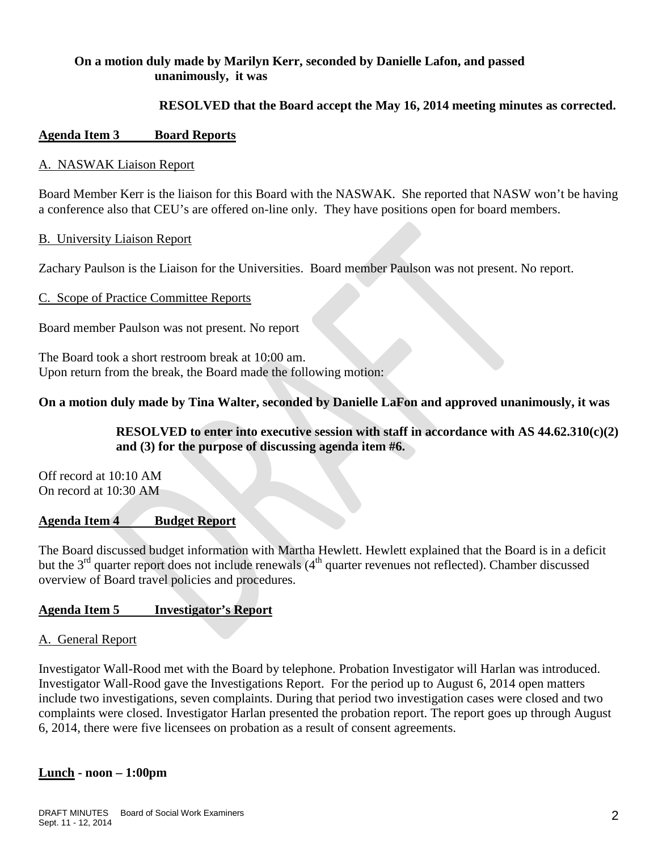## **On a motion duly made by Marilyn Kerr, seconded by Danielle Lafon, and passed unanimously, it was**

## **RESOLVED that the Board accept the May 16, 2014 meeting minutes as corrected.**

## **Agenda Item 3 Board Reports**

#### A. NASWAK Liaison Report

Board Member Kerr is the liaison for this Board with the NASWAK. She reported that NASW won't be having a conference also that CEU's are offered on-line only. They have positions open for board members.

#### B. University Liaison Report

Zachary Paulson is the Liaison for the Universities. Board member Paulson was not present. No report.

## C. Scope of Practice Committee Reports

Board member Paulson was not present. No report

The Board took a short restroom break at 10:00 am. Upon return from the break, the Board made the following motion:

## **On a motion duly made by Tina Walter, seconded by Danielle LaFon and approved unanimously, it was**

# **RESOLVED to enter into executive session with staff in accordance with AS 44.62.310(c)(2) and (3) for the purpose of discussing agenda item #6.**

Off record at 10:10 AM On record at 10:30 AM

## **Agenda Item 4 Budget Report**

The Board discussed budget information with Martha Hewlett. Hewlett explained that the Board is in a deficit but the  $3<sup>rd</sup>$  quarter report does not include renewals  $(4<sup>th</sup>$  quarter revenues not reflected). Chamber discussed overview of Board travel policies and procedures.

## **Agenda Item 5 Investigator's Report**

## A. General Report

Investigator Wall-Rood met with the Board by telephone. Probation Investigator will Harlan was introduced. Investigator Wall-Rood gave the Investigations Report. For the period up to August 6, 2014 open matters include two investigations, seven complaints. During that period two investigation cases were closed and two complaints were closed. Investigator Harlan presented the probation report. The report goes up through August 6, 2014, there were five licensees on probation as a result of consent agreements.

## **Lunch - noon – 1:00pm**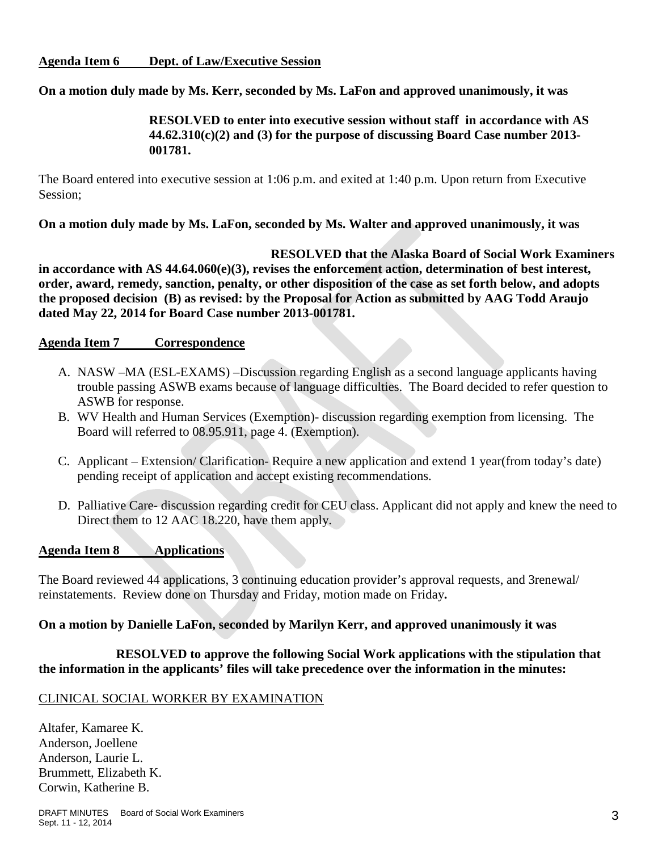## **On a motion duly made by Ms. Kerr, seconded by Ms. LaFon and approved unanimously, it was**

## **RESOLVED to enter into executive session without staff in accordance with AS 44.62.310(c)(2) and (3) for the purpose of discussing Board Case number 2013- 001781.**

The Board entered into executive session at 1:06 p.m. and exited at 1:40 p.m. Upon return from Executive Session;

**On a motion duly made by Ms. LaFon, seconded by Ms. Walter and approved unanimously, it was** 

**RESOLVED that the Alaska Board of Social Work Examiners in accordance with AS 44.64.060(e)(3), revises the enforcement action, determination of best interest, order, award, remedy, sanction, penalty, or other disposition of the case as set forth below, and adopts the proposed decision (B) as revised: by the Proposal for Action as submitted by AAG Todd Araujo dated May 22, 2014 for Board Case number 2013-001781.**

## **Agenda Item 7 Correspondence**

- A. NASW –MA (ESL-EXAMS) –Discussion regarding English as a second language applicants having trouble passing ASWB exams because of language difficulties. The Board decided to refer question to ASWB for response.
- B. WV Health and Human Services (Exemption)- discussion regarding exemption from licensing. The Board will referred to 08.95.911, page 4. (Exemption).
- C. Applicant Extension/ Clarification- Require a new application and extend 1 year(from today's date) pending receipt of application and accept existing recommendations.
- D. Palliative Care- discussion regarding credit for CEU class. Applicant did not apply and knew the need to Direct them to 12 AAC 18.220, have them apply.

## **Agenda Item 8 Applications**

The Board reviewed 44 applications, 3 continuing education provider's approval requests, and 3renewal/ reinstatements. Review done on Thursday and Friday, motion made on Friday**.**

## **On a motion by Danielle LaFon, seconded by Marilyn Kerr, and approved unanimously it was**

## **RESOLVED to approve the following Social Work applications with the stipulation that the information in the applicants' files will take precedence over the information in the minutes:**

#### CLINICAL SOCIAL WORKER BY EXAMINATION

Altafer, Kamaree K. Anderson, Joellene Anderson, Laurie L. Brummett, Elizabeth K. Corwin, Katherine B.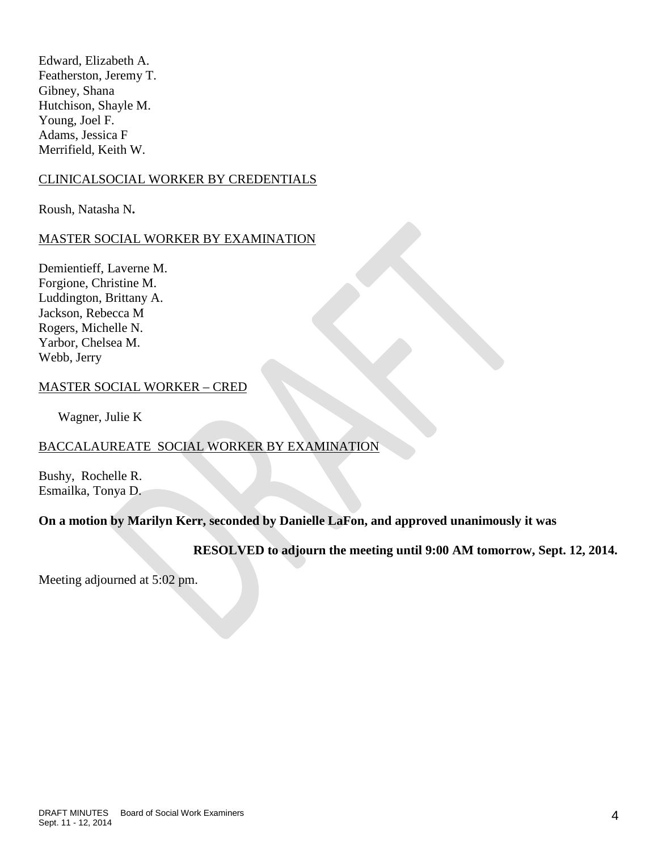Edward, Elizabeth A. Featherston, Jeremy T. Gibney, Shana Hutchison, Shayle M. Young, Joel F. Adams, Jessica F Merrifield, Keith W.

## CLINICALSOCIAL WORKER BY CREDENTIALS

Roush, Natasha N**.**

## MASTER SOCIAL WORKER BY EXAMINATION

Demientieff, Laverne M. Forgione, Christine M. Luddington, Brittany A. Jackson, Rebecca M Rogers, Michelle N. Yarbor, Chelsea M. Webb, Jerry

## MASTER SOCIAL WORKER – CRED

Wagner, Julie K

## BACCALAUREATE SOCIAL WORKER BY EXAMINATION

Bushy, Rochelle R. Esmailka, Tonya D.

## **On a motion by Marilyn Kerr, seconded by Danielle LaFon, and approved unanimously it was**

**RESOLVED to adjourn the meeting until 9:00 AM tomorrow, Sept. 12, 2014.**

Meeting adjourned at 5:02 pm.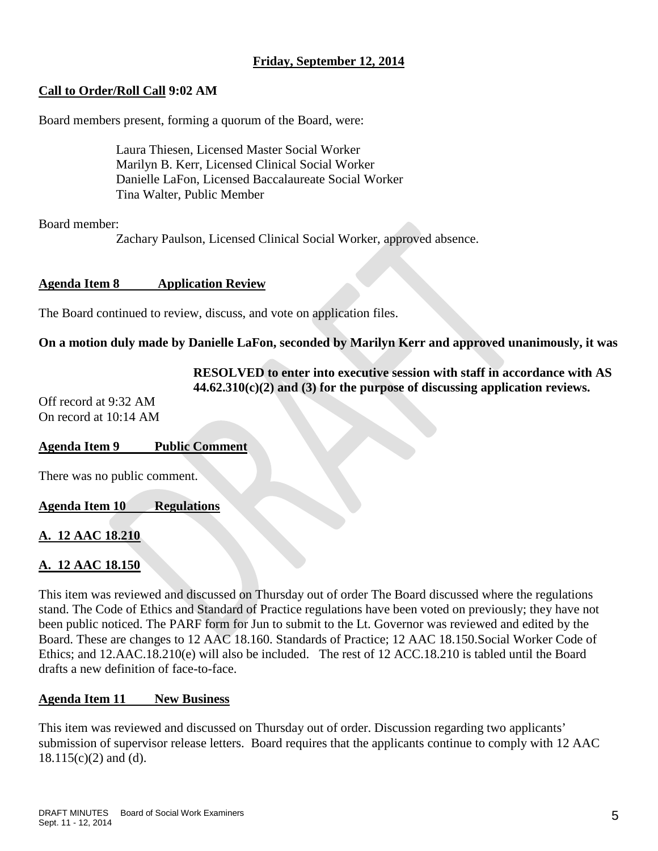# **Friday, September 12, 2014**

# **Call to Order/Roll Call 9:02 AM**

Board members present, forming a quorum of the Board, were:

Laura Thiesen, Licensed Master Social Worker Marilyn B. Kerr, Licensed Clinical Social Worker Danielle LaFon, Licensed Baccalaureate Social Worker Tina Walter, Public Member

Board member:

Zachary Paulson, Licensed Clinical Social Worker, approved absence.

## **Agenda Item 8 Application Review**

The Board continued to review, discuss, and vote on application files.

## **On a motion duly made by Danielle LaFon, seconded by Marilyn Kerr and approved unanimously, it was**

**RESOLVED to enter into executive session with staff in accordance with AS 44.62.310(c)(2) and (3) for the purpose of discussing application reviews.**

Off record at 9:32 AM On record at 10:14 AM

## **Agenda Item 9 Public Comment**

There was no public comment.

**Agenda Item 10 Regulations**

## **A. 12 AAC 18.210**

# **A. 12 AAC 18.150**

This item was reviewed and discussed on Thursday out of order The Board discussed where the regulations stand. The Code of Ethics and Standard of Practice regulations have been voted on previously; they have not been public noticed. The PARF form for Jun to submit to the Lt. Governor was reviewed and edited by the Board. These are changes to 12 AAC 18.160. Standards of Practice; 12 AAC 18.150.Social Worker Code of Ethics; and 12.AAC.18.210(e) will also be included. The rest of 12 ACC.18.210 is tabled until the Board drafts a new definition of face-to-face.

## **Agenda Item 11 New Business**

This item was reviewed and discussed on Thursday out of order. Discussion regarding two applicants' submission of supervisor release letters. Board requires that the applicants continue to comply with 12 AAC  $18.115(c)(2)$  and (d).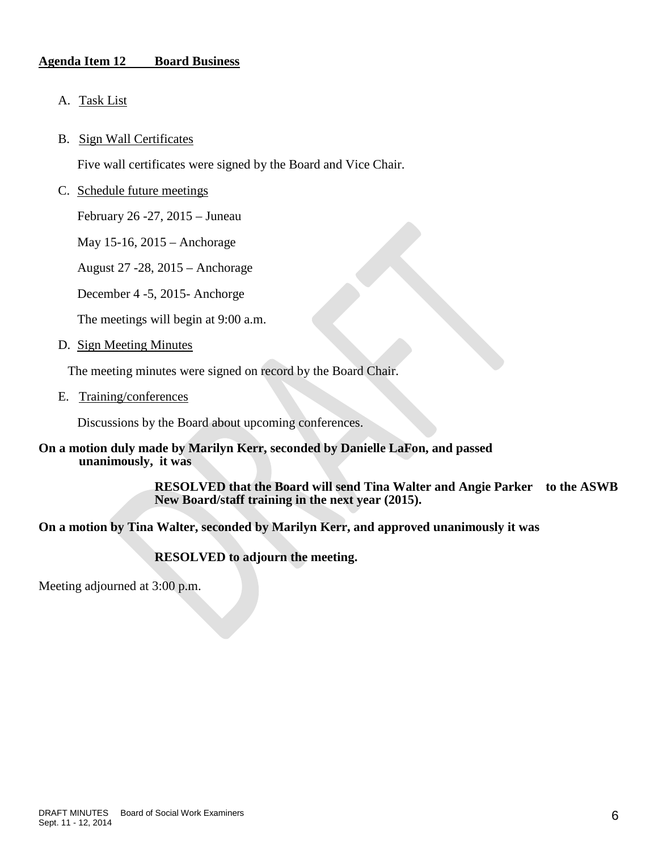## **Agenda Item 12 Board Business**

- A. Task List
- B. Sign Wall Certificates

Five wall certificates were signed by the Board and Vice Chair.

C. Schedule future meetings

February 26 -27, 2015 – Juneau

May 15-16, 2015 – Anchorage

August 27 -28, 2015 – Anchorage

December 4 -5, 2015- Anchorge

The meetings will begin at 9:00 a.m.

D. Sign Meeting Minutes

The meeting minutes were signed on record by the Board Chair.

E. Training/conferences

Discussions by the Board about upcoming conferences.

#### **On a motion duly made by Marilyn Kerr, seconded by Danielle LaFon, and passed unanimously, it was**

**RESOLVED that the Board will send Tina Walter and Angie Parker to the ASWB New Board/staff training in the next year (2015).**

## **On a motion by Tina Walter, seconded by Marilyn Kerr, and approved unanimously it was**

**RESOLVED to adjourn the meeting.**

Meeting adjourned at 3:00 p.m.